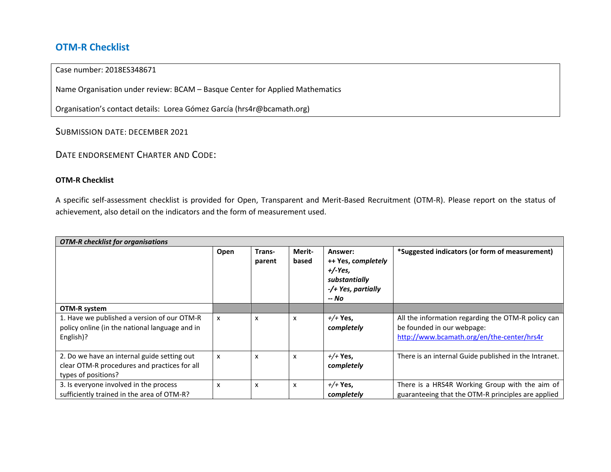## **OTM-R Checklist**

## Case number: 2018ES348671

Name Organisation under review: BCAM – Basque Center for Applied Mathematics

Organisation's contact details: Lorea Gómez García (hrs4r@bcamath.org)

SUBMISSION DATE: DECEMBER 2021

DATE ENDORSEMENT CHARTER AND CODE:

## **OTM-R Checklist**

A specific self-assessment checklist is provided for Open, Transparent and Merit-Based Recruitment (OTM-R). Please report on the status of achievement, also detail on the indicators and the form of measurement used.

| <b>OTM-R</b> checklist for organisations                                                                           |      |                  |                 |                                                                                            |                                                                                                                                |  |
|--------------------------------------------------------------------------------------------------------------------|------|------------------|-----------------|--------------------------------------------------------------------------------------------|--------------------------------------------------------------------------------------------------------------------------------|--|
|                                                                                                                    | Open | Trans-<br>parent | Merit-<br>based | Answer:<br>++ Yes, completely<br>$+/-Yes.$<br>substantially<br>-/+ Yes, partially<br>-- No | *Suggested indicators (or form of measurement)                                                                                 |  |
| OTM-R system                                                                                                       |      |                  |                 |                                                                                            |                                                                                                                                |  |
| 1. Have we published a version of our OTM-R<br>policy online (in the national language and in<br>English)?         | X    | x                | x               | $+/+$ Yes,<br>completely                                                                   | All the information regarding the OTM-R policy can<br>be founded in our webpage:<br>http://www.bcamath.org/en/the-center/hrs4r |  |
| 2. Do we have an internal guide setting out<br>clear OTM-R procedures and practices for all<br>types of positions? | x    | x                | x               | $+/+Yes,$<br>completely                                                                    | There is an internal Guide published in the Intranet.                                                                          |  |
| 3. Is everyone involved in the process<br>sufficiently trained in the area of OTM-R?                               | x    | x                | x               | $+/+Yes,$<br>completely                                                                    | There is a HRS4R Working Group with the aim of<br>guaranteeing that the OTM-R principles are applied                           |  |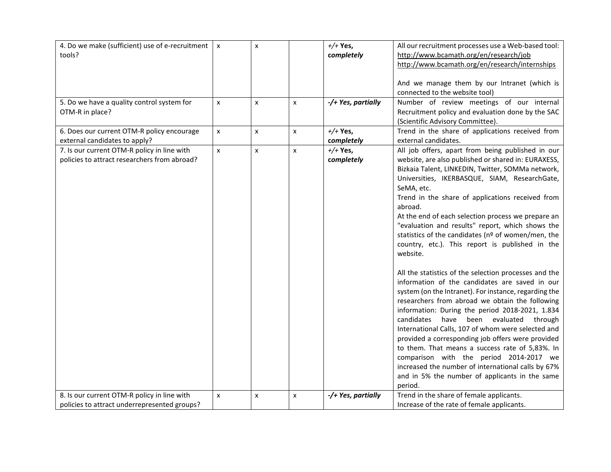| 4. Do we make (sufficient) use of e-recruitment<br>tools?                                   | $\pmb{\times}$ | $\pmb{\mathsf{x}}$ |                | $+/+$ Yes,<br>completely | All our recruitment processes use a Web-based tool:<br>http://www.bcamath.org/en/research/job<br>http://www.bcamath.org/en/research/internships                                                                                                                                                                                                                                                                                                                                                                                                                                                                                                                                                                                                                                                                                                                                                                                                                                                                                                                                                                                                                 |
|---------------------------------------------------------------------------------------------|----------------|--------------------|----------------|--------------------------|-----------------------------------------------------------------------------------------------------------------------------------------------------------------------------------------------------------------------------------------------------------------------------------------------------------------------------------------------------------------------------------------------------------------------------------------------------------------------------------------------------------------------------------------------------------------------------------------------------------------------------------------------------------------------------------------------------------------------------------------------------------------------------------------------------------------------------------------------------------------------------------------------------------------------------------------------------------------------------------------------------------------------------------------------------------------------------------------------------------------------------------------------------------------|
|                                                                                             |                |                    |                |                          | And we manage them by our Intranet (which is<br>connected to the website tool)                                                                                                                                                                                                                                                                                                                                                                                                                                                                                                                                                                                                                                                                                                                                                                                                                                                                                                                                                                                                                                                                                  |
| 5. Do we have a quality control system for<br>OTM-R in place?                               | X              | x                  | X              | -/+ Yes, partially       | Number of review meetings of our internal<br>Recruitment policy and evaluation done by the SAC<br>(Scientific Advisory Committee).                                                                                                                                                                                                                                                                                                                                                                                                                                                                                                                                                                                                                                                                                                                                                                                                                                                                                                                                                                                                                              |
| 6. Does our current OTM-R policy encourage<br>external candidates to apply?                 | $\pmb{\times}$ | $\pmb{\times}$     | $\pmb{\times}$ | $+/+$ Yes,<br>completely | Trend in the share of applications received from<br>external candidates.                                                                                                                                                                                                                                                                                                                                                                                                                                                                                                                                                                                                                                                                                                                                                                                                                                                                                                                                                                                                                                                                                        |
| 7. Is our current OTM-R policy in line with<br>policies to attract researchers from abroad? | $\pmb{\times}$ | $\pmb{\times}$     | $\pmb{\times}$ | $+/+$ Yes,<br>completely | All job offers, apart from being published in our<br>website, are also published or shared in: EURAXESS,<br>Bizkaia Talent, LINKEDIN, Twitter, SOMMa network,<br>Universities, IKERBASQUE, SIAM, ResearchGate,<br>SeMA, etc.<br>Trend in the share of applications received from<br>abroad.<br>At the end of each selection process we prepare an<br>"evaluation and results" report, which shows the<br>statistics of the candidates (nº of women/men, the<br>country, etc.). This report is published in the<br>website.<br>All the statistics of the selection processes and the<br>information of the candidates are saved in our<br>system (on the Intranet). For instance, regarding the<br>researchers from abroad we obtain the following<br>information: During the period 2018-2021, 1.834<br>candidates have been evaluated through<br>International Calls, 107 of whom were selected and<br>provided a corresponding job offers were provided<br>to them. That means a success rate of 5,83%. In<br>comparison with the period 2014-2017 we<br>increased the number of international calls by 67%<br>and in 5% the number of applicants in the same |
| 8. Is our current OTM-R policy in line with                                                 | $\pmb{\times}$ | $\pmb{\mathsf{x}}$ | X              | -/+ Yes, partially       | period.<br>Trend in the share of female applicants.                                                                                                                                                                                                                                                                                                                                                                                                                                                                                                                                                                                                                                                                                                                                                                                                                                                                                                                                                                                                                                                                                                             |
| policies to attract underrepresented groups?                                                |                |                    |                |                          | Increase of the rate of female applicants.                                                                                                                                                                                                                                                                                                                                                                                                                                                                                                                                                                                                                                                                                                                                                                                                                                                                                                                                                                                                                                                                                                                      |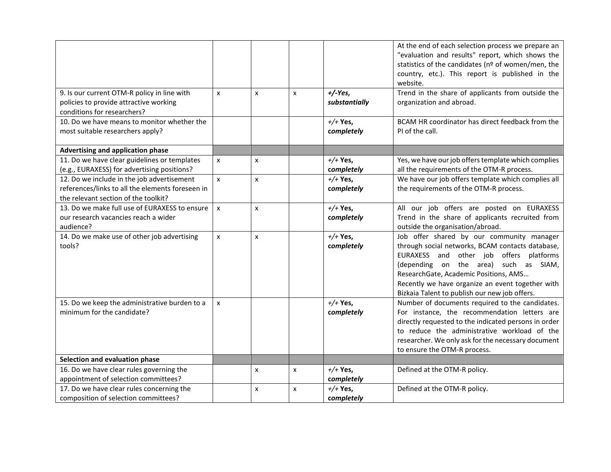|                                                                                                                                        |                    |                           |   |                           | At the end of each selection process we prepare an<br>"evaluation and results" report, which shows the<br>statistics of the candidates (nº of women/men, the<br>country, etc.). This report is published in the<br>website.                                                                                                     |
|----------------------------------------------------------------------------------------------------------------------------------------|--------------------|---------------------------|---|---------------------------|---------------------------------------------------------------------------------------------------------------------------------------------------------------------------------------------------------------------------------------------------------------------------------------------------------------------------------|
| 9. Is our current OTM-R policy in line with<br>policies to provide attractive working<br>conditions for researchers?                   | x                  | x                         | X | $+/-Yes$<br>substantially | Trend in the share of applicants from outside the<br>organization and abroad.                                                                                                                                                                                                                                                   |
| 10. Do we have means to monitor whether the<br>most suitable researchers apply?                                                        |                    |                           |   | $+/+$ Yes,<br>completely  | BCAM HR coordinator has direct feedback from the<br>PI of the call.                                                                                                                                                                                                                                                             |
| Advertising and application phase                                                                                                      |                    |                           |   |                           |                                                                                                                                                                                                                                                                                                                                 |
| 11. Do we have clear guidelines or templates<br>(e.g., EURAXESS) for advertising positions?                                            | $\mathsf{x}$       | $\boldsymbol{\mathsf{x}}$ |   | $+/$ Yes,<br>completely   | Yes, we have our job offers template which complies<br>all the requirements of the OTM-R process.                                                                                                                                                                                                                               |
| 12. Do we include in the job advertisement<br>references/links to all the elements foreseen in<br>the relevant section of the toolkit? | $\mathsf{x}$       | $\boldsymbol{\mathsf{x}}$ |   | $+/$ Yes,<br>completely   | We have our job offers template which complies all<br>the requirements of the OTM-R process.                                                                                                                                                                                                                                    |
| 13. Do we make full use of EURAXESS to ensure<br>our research vacancies reach a wider<br>audience?                                     | $\mathsf{x}$       | x                         |   | $+/+$ Yes,<br>completely  | All our job offers are posted on EURAXESS<br>Trend in the share of applicants recruited from<br>outside the organisation/abroad.                                                                                                                                                                                                |
| 14. Do we make use of other job advertising<br>tools?                                                                                  | $\pmb{\mathsf{x}}$ | x                         |   | $+/$ Yes,<br>completely   | Job offer shared by our community manager<br>through social networks, BCAM contacts database,<br>EURAXESS and other job offers platforms<br>(depending on the area) such as SIAM,<br>ResearchGate, Academic Positions, AMS<br>Recently we have organize an event together with<br>Bizkaia Talent to publish our new job offers. |
| 15. Do we keep the administrative burden to a<br>minimum for the candidate?                                                            | X                  |                           |   | $+/$ Yes,<br>completely   | Number of documents required to the candidates.<br>For instance, the recommendation letters are<br>directly requested to the indicated persons in order<br>to reduce the administrative workload of the<br>researcher. We only ask for the necessary document<br>to ensure the OTM-R process.                                   |
| Selection and evaluation phase                                                                                                         |                    |                           |   |                           |                                                                                                                                                                                                                                                                                                                                 |
| 16. Do we have clear rules governing the<br>appointment of selection committees?                                                       |                    | x                         | x | $+/$ Yes,<br>completely   | Defined at the OTM-R policy.                                                                                                                                                                                                                                                                                                    |
| 17. Do we have clear rules concerning the<br>composition of selection committees?                                                      |                    | x                         | x | $+/+$ Yes,<br>completely  | Defined at the OTM-R policy.                                                                                                                                                                                                                                                                                                    |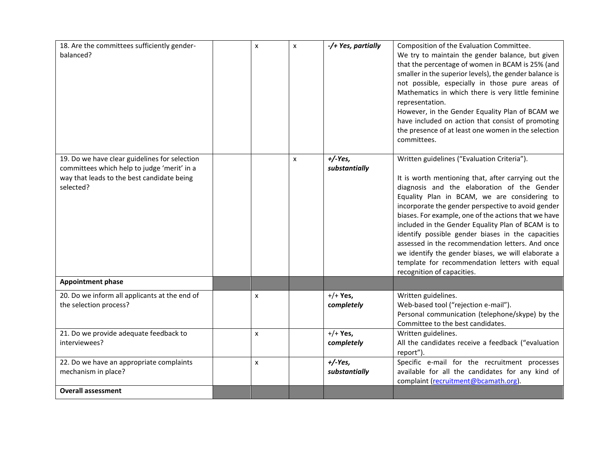| 18. Are the committees sufficiently gender-<br>balanced?                                                                                                | x | $\pmb{\times}$            | -/+ Yes, partially         | Composition of the Evaluation Committee.<br>We try to maintain the gender balance, but given<br>that the percentage of women in BCAM is 25% (and<br>smaller in the superior levels), the gender balance is<br>not possible, especially in those pure areas of<br>Mathematics in which there is very little feminine<br>representation.<br>However, in the Gender Equality Plan of BCAM we<br>have included on action that consist of promoting<br>the presence of at least one women in the selection<br>committees.                                                                                                 |
|---------------------------------------------------------------------------------------------------------------------------------------------------------|---|---------------------------|----------------------------|----------------------------------------------------------------------------------------------------------------------------------------------------------------------------------------------------------------------------------------------------------------------------------------------------------------------------------------------------------------------------------------------------------------------------------------------------------------------------------------------------------------------------------------------------------------------------------------------------------------------|
| 19. Do we have clear guidelines for selection<br>committees which help to judge 'merit' in a<br>way that leads to the best candidate being<br>selected? |   | $\boldsymbol{\mathsf{x}}$ | $+/-Yes,$<br>substantially | Written guidelines ("Evaluation Criteria").<br>It is worth mentioning that, after carrying out the<br>diagnosis and the elaboration of the Gender<br>Equality Plan in BCAM, we are considering to<br>incorporate the gender perspective to avoid gender<br>biases. For example, one of the actions that we have<br>included in the Gender Equality Plan of BCAM is to<br>identify possible gender biases in the capacities<br>assessed in the recommendation letters. And once<br>we identify the gender biases, we will elaborate a<br>template for recommendation letters with equal<br>recognition of capacities. |
| <b>Appointment phase</b>                                                                                                                                |   |                           |                            |                                                                                                                                                                                                                                                                                                                                                                                                                                                                                                                                                                                                                      |
| 20. Do we inform all applicants at the end of<br>the selection process?                                                                                 | x |                           | $+/+$ Yes,<br>completely   | Written guidelines.<br>Web-based tool ("rejection e-mail").<br>Personal communication (telephone/skype) by the<br>Committee to the best candidates.                                                                                                                                                                                                                                                                                                                                                                                                                                                                  |
| 21. Do we provide adequate feedback to<br>interviewees?                                                                                                 | x |                           | $+/+$ Yes,<br>completely   | Written guidelines.<br>All the candidates receive a feedback ("evaluation<br>report").                                                                                                                                                                                                                                                                                                                                                                                                                                                                                                                               |
| 22. Do we have an appropriate complaints<br>mechanism in place?                                                                                         | x |                           | $+/-Yes,$<br>substantially | Specific e-mail for the recruitment processes<br>available for all the candidates for any kind of<br>complaint (recruitment@bcamath.org).                                                                                                                                                                                                                                                                                                                                                                                                                                                                            |
| <b>Overall assessment</b>                                                                                                                               |   |                           |                            |                                                                                                                                                                                                                                                                                                                                                                                                                                                                                                                                                                                                                      |